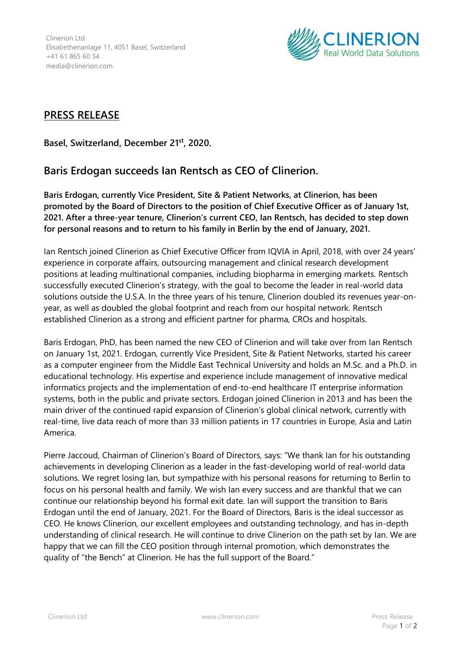Clinerion Ltd Elisabethenanlage 11, 4051 Basel, Switzerland +41 61 865 60 54 media@clinerion.com



## **PRESS RELEASE**

**Basel, Switzerland, December 21st , 2020.**

## **Baris Erdogan succeeds Ian Rentsch as CEO of Clinerion.**

**Baris Erdogan, currently Vice President, Site & Patient Networks, at Clinerion, has been promoted by the Board of Directors to the position of Chief Executive Officer as of January 1st, 2021. After a three-year tenure, Clinerion's current CEO, Ian Rentsch, has decided to step down for personal reasons and to return to his family in Berlin by the end of January, 2021.**

Ian Rentsch joined Clinerion as Chief Executive Officer from IQVIA in April, 2018, with over 24 years' experience in corporate affairs, outsourcing management and clinical research development positions at leading multinational companies, including biopharma in emerging markets. Rentsch successfully executed Clinerion's strategy, with the goal to become the leader in real-world data solutions outside the U.S.A. In the three years of his tenure, Clinerion doubled its revenues year-onyear, as well as doubled the global footprint and reach from our hospital network. Rentsch established Clinerion as a strong and efficient partner for pharma, CROs and hospitals.

Baris Erdogan, PhD, has been named the new CEO of Clinerion and will take over from Ian Rentsch on January 1st, 2021. Erdogan, currently Vice President, Site & Patient Networks, started his career as a computer engineer from the Middle East Technical University and holds an M.Sc. and a Ph.D. in educational technology. His expertise and experience include management of innovative medical informatics projects and the implementation of end-to-end healthcare IT enterprise information systems, both in the public and private sectors. Erdogan joined Clinerion in 2013 and has been the main driver of the continued rapid expansion of Clinerion's global clinical network, currently with real-time, live data reach of more than 33 million patients in 17 countries in Europe, Asia and Latin America.

Pierre Jaccoud, Chairman of Clinerion's Board of Directors, says: "We thank Ian for his outstanding achievements in developing Clinerion as a leader in the fast-developing world of real-world data solutions. We regret losing Ian, but sympathize with his personal reasons for returning to Berlin to focus on his personal health and family. We wish Ian every success and are thankful that we can continue our relationship beyond his formal exit date. Ian will support the transition to Baris Erdogan until the end of January, 2021. For the Board of Directors, Baris is the ideal successor as CEO. He knows Clinerion, our excellent employees and outstanding technology, and has in-depth understanding of clinical research. He will continue to drive Clinerion on the path set by Ian. We are happy that we can fill the CEO position through internal promotion, which demonstrates the quality of "the Bench" at Clinerion. He has the full support of the Board."